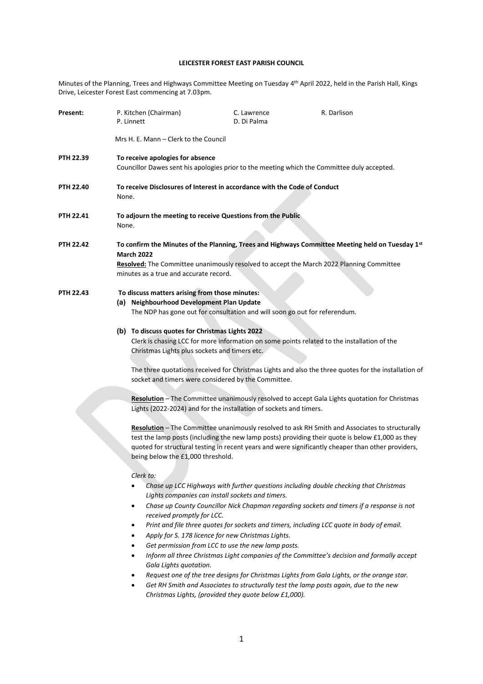# **LEICESTER FOREST EAST PARISH COUNCIL**

Minutes of the Planning, Trees and Highways Committee Meeting on Tuesday 4<sup>th</sup> April 2022, held in the Parish Hall, Kings Drive, Leicester Forest East commencing at 7.03pm.

| Present:         |                                                                                                                                                                                                                                                             | P. Kitchen (Chairman)<br>P. Linnett                                                                                                                          | C. Lawrence<br>D. Di Palma                                                                                                                                                                                            | R. Darlison                                                                                                                                                                                                                                                                                                                                                                                                                                                                                                                                                          |  |
|------------------|-------------------------------------------------------------------------------------------------------------------------------------------------------------------------------------------------------------------------------------------------------------|--------------------------------------------------------------------------------------------------------------------------------------------------------------|-----------------------------------------------------------------------------------------------------------------------------------------------------------------------------------------------------------------------|----------------------------------------------------------------------------------------------------------------------------------------------------------------------------------------------------------------------------------------------------------------------------------------------------------------------------------------------------------------------------------------------------------------------------------------------------------------------------------------------------------------------------------------------------------------------|--|
|                  | Mrs H. E. Mann – Clerk to the Council                                                                                                                                                                                                                       |                                                                                                                                                              |                                                                                                                                                                                                                       |                                                                                                                                                                                                                                                                                                                                                                                                                                                                                                                                                                      |  |
| PTH 22.39        | To receive apologies for absence<br>Councillor Dawes sent his apologies prior to the meeting which the Committee duly accepted.                                                                                                                             |                                                                                                                                                              |                                                                                                                                                                                                                       |                                                                                                                                                                                                                                                                                                                                                                                                                                                                                                                                                                      |  |
| <b>PTH 22.40</b> | To receive Disclosures of Interest in accordance with the Code of Conduct<br>None.                                                                                                                                                                          |                                                                                                                                                              |                                                                                                                                                                                                                       |                                                                                                                                                                                                                                                                                                                                                                                                                                                                                                                                                                      |  |
| <b>PTH 22.41</b> | To adjourn the meeting to receive Questions from the Public<br>None.                                                                                                                                                                                        |                                                                                                                                                              |                                                                                                                                                                                                                       |                                                                                                                                                                                                                                                                                                                                                                                                                                                                                                                                                                      |  |
| <b>PTH 22.42</b> | To confirm the Minutes of the Planning, Trees and Highways Committee Meeting held on Tuesday 1st<br><b>March 2022</b><br>Resolved: The Committee unanimously resolved to accept the March 2022 Planning Committee<br>minutes as a true and accurate record. |                                                                                                                                                              |                                                                                                                                                                                                                       |                                                                                                                                                                                                                                                                                                                                                                                                                                                                                                                                                                      |  |
| <b>PTH 22.43</b> | To discuss matters arising from those minutes:<br>(a) Neighbourhood Development Plan Update<br>The NDP has gone out for consultation and will soon go out for referendum.                                                                                   |                                                                                                                                                              |                                                                                                                                                                                                                       |                                                                                                                                                                                                                                                                                                                                                                                                                                                                                                                                                                      |  |
|                  |                                                                                                                                                                                                                                                             | (b) To discuss quotes for Christmas Lights 2022<br>Christmas Lights plus sockets and timers etc.                                                             | socket and timers were considered by the Committee.                                                                                                                                                                   | Clerk is chasing LCC for more information on some points related to the installation of the<br>The three quotations received for Christmas Lights and also the three quotes for the installation of                                                                                                                                                                                                                                                                                                                                                                  |  |
|                  |                                                                                                                                                                                                                                                             | being below the £1,000 threshold.                                                                                                                            | Lights (2022-2024) and for the installation of sockets and timers.                                                                                                                                                    | Resolution - The Committee unanimously resolved to accept Gala Lights quotation for Christmas<br>Resolution - The Committee unanimously resolved to ask RH Smith and Associates to structurally<br>test the lamp posts (including the new lamp posts) providing their quote is below £1,000 as they<br>quoted for structural testing in recent years and were significantly cheaper than other providers,                                                                                                                                                            |  |
|                  |                                                                                                                                                                                                                                                             | Clerk to:<br>$\bullet$<br>received promptly for LCC.<br>$\bullet$<br>$\bullet$<br>$\bullet$<br>$\bullet$<br>Gala Lights quotation.<br>$\bullet$<br>$\bullet$ | Lights companies can install sockets and timers.<br>Apply for S. 178 licence for new Christmas Lights.<br>Get permission from LCC to use the new lamp posts.<br>Christmas Lights, (provided they quote below £1,000). | Chase up LCC Highways with further questions including double checking that Christmas<br>Chase up County Councillor Nick Chapman regarding sockets and timers if a response is not<br>Print and file three quotes for sockets and timers, including LCC quote in body of email.<br>Inform all three Christmas Light companies of the Committee's decision and formally accept<br>Request one of the tree designs for Christmas Lights from Gala Lights, or the orange star.<br>Get RH Smith and Associates to structurally test the lamp posts again, due to the new |  |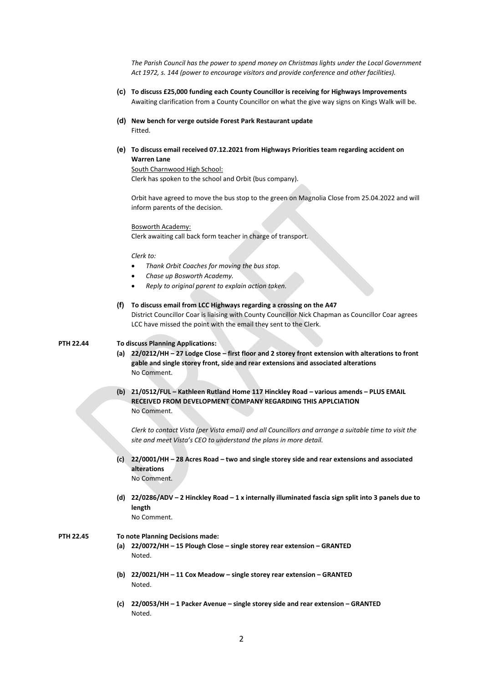*The Parish Council has the power to spend money on Christmas lights under the Local Government Act 1972, s. 144 (power to encourage visitors and provide conference and other facilities).*

- **(c) To discuss £25,000 funding each County Councillor is receiving for Highways Improvements** Awaiting clarification from a County Councillor on what the give way signs on Kings Walk will be.
- **(d) New bench for verge outside Forest Park Restaurant update** Fitted.
- **(e) To discuss email received 07.12.2021 from Highways Priorities team regarding accident on Warren Lane**

South Charnwood High School: Clerk has spoken to the school and Orbit (bus company).

Orbit have agreed to move the bus stop to the green on Magnolia Close from 25.04.2022 and will inform parents of the decision.

### Bosworth Academy:

Clerk awaiting call back form teacher in charge of transport.

#### *Clerk to:*

- *Thank Orbit Coaches for moving the bus stop.*
- *Chase up Bosworth Academy.*
- *Reply to original parent to explain action taken.*

#### **(f) To discuss email from LCC Highways regarding a crossing on the A47**

District Councillor Coar is liaising with County Councillor Nick Chapman as Councillor Coar agrees LCC have missed the point with the email they sent to the Clerk.

## **PTH 22.44 To discuss Planning Applications:**

- **(a) 22/0212/HH – 27 Lodge Close – first floor and 2 storey front extension with alterations to front gable and single storey front, side and rear extensions and associated alterations** No Comment.
- **(b) 21/0512/FUL – Kathleen Rutland Home 117 Hinckley Road – various amends – PLUS EMAIL RECEIVED FROM DEVELOPMENT COMPANY REGARDING THIS APPLCIATION** No Comment.

*Clerk to contact Vista (per Vista email) and all Councillors and arrange a suitable time to visit the site and meet Vista's CEO to understand the plans in more detail.*

**(c) 22/0001/HH – 28 Acres Road – two and single storey side and rear extensions and associated alterations** No Comment.

**(d) 22/0286/ADV – 2 Hinckley Road – 1 x internally illuminated fascia sign split into 3 panels due to length**

No Comment.

## **PTH 22.45 To note Planning Decisions made:**

- **(a) 22/0072/HH – 15 Plough Close – single storey rear extension – GRANTED** Noted.
- **(b) 22/0021/HH – 11 Cox Meadow – single storey rear extension – GRANTED** Noted.
- **(c) 22/0053/HH – 1 Packer Avenue – single storey side and rear extension – GRANTED** Noted.